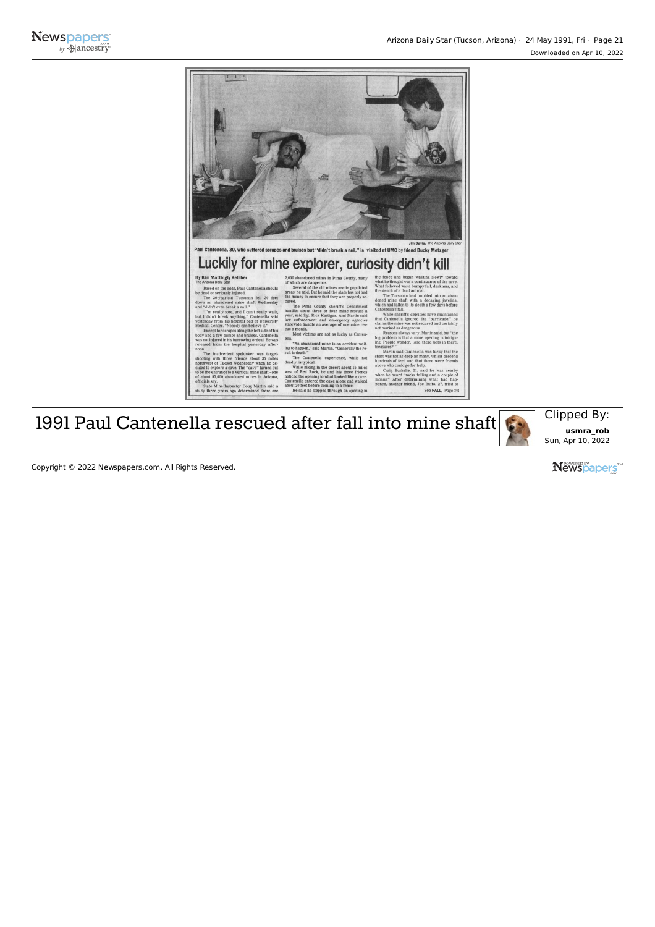

## Luckily for mine explorer, curiosity didn't kill

## By Kim Mattingly Kelllher The Arizona Dally Star

Based on the odds, Paul Cantenella should be dead or seriously Injured. The 30-year -old Tucsonan fell <sup>30</sup> feet down an abandoned mine shaft Wednesday

and "didn't even break a nail." "I'm really sore, and <sup>I</sup> can't really walk, but <sup>I</sup> didn't break anything." Cantenella said yesterday from his hospital bed at University Medical Center. "Nobody can believe it." Except forscrapesalong the left side of his body and a few bumps and bruises. Cantenella

was not injured in his harrowing ordeal. He was released from the hospital yesterday after- noon. The inadvertent spelunker was target- shooting with three friends about <sup>35</sup> miles northwest of Tucson Wednesday when he de cided to explore <sup>a</sup> cave. The "cave" turned out to be the entrance to a vertical mine shaft - one

of about 95,000 abandoned mines in Arizona, officials say. State Mine Inspector Doug Martin said a study three years ago determined there are 2.000 abandoned mines in Pima County, many of which are dangerous. Several of the old mines are in populated areas, he said. But he said the state has not had the money to ensure that they are properly se- cured.

The Pima County Sheriff's Department handles about three or four mine rescues a nandies about three or four mine rescues a<br>year, said Sgt. Rick Kastigar. And Martin said law enforcement and emergency agencies statewide handle an average of one mine res- cue <sup>a</sup> month.

Most victims are not as lucky as Canten- ella. "An abandoned mine is an accident waiting to happen," said Martin. "Generally the re-<br>sult is death."

The Cantenella experience, while not the Canten While hiking in the desert about <sup>15</sup> miles west of Red Rock, he and his three friends noticed the opening to what looked like a cave. Cantenella entered the cave alone and walked about 20 feet before coming to a fence. He said he stepped through an opening in

y toward<br>the cave. the stench of a dead animal. The Tucsonan had tumbled into an aban-<br>doned mine shaft with a decaying javelina, which had fallen to its death a few days before

Cantenella's fall. While sheriff's deputies have maintained that Cantenella ignored the "barricade," he claimsthe mine was not secured and certainly not marked as dangerous.

Reasons always vary. Martin said, but "the big problem is that a mine opening is Intriguing. People wonder, 'Are there bats in there, treasures?'" Martin said Cantenella was lucky that the

shaft was not as deep as many, which descend hundreds of feet, and that there were friends above who could go for help. Craig Bushelle, 21, said he was nearby when he heard "rocks falling and a couple of moans." After determining what had happened, another friend, Joe Buffo, 27, tried to

See FALL, Page 28

1991 Paul Cantenella rescued after fall into mine shaft  $\left[\begin{array}{c|c} \hline \end{array}\right]$  Clipped By:

**usmra\_rob** Sun, Apr 10, 2022

Copyright © 2022 Newspapers.com. All Rights Reserved.